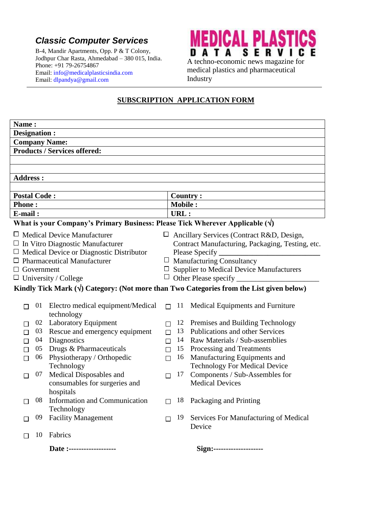## *Classic Computer Services*

B-4, Mandir Apartments, Opp. P & T Colony, Jodhpur Char Rasta, Ahmedabad – 380 015, India. Phone: +91 79-26754867 Email: [info@medicalplasticsindia.com](mailto:info@medicalplasticsindia.com) Email: [dlpandya@gmail.com](mailto:dlpandya@gmail.com)



medical plastics and pharmaceutical Industry

#### **SUBSCRIPTION APPLICATION FORM**

| Name:                                                                                           |    |                                                          |        |                                                  |                                                                        |  |  |  |  |  |
|-------------------------------------------------------------------------------------------------|----|----------------------------------------------------------|--------|--------------------------------------------------|------------------------------------------------------------------------|--|--|--|--|--|
| Designation :                                                                                   |    |                                                          |        |                                                  |                                                                        |  |  |  |  |  |
| <b>Company Name:</b>                                                                            |    |                                                          |        |                                                  |                                                                        |  |  |  |  |  |
| <b>Products / Services offered:</b>                                                             |    |                                                          |        |                                                  |                                                                        |  |  |  |  |  |
|                                                                                                 |    |                                                          |        |                                                  |                                                                        |  |  |  |  |  |
|                                                                                                 |    |                                                          |        |                                                  |                                                                        |  |  |  |  |  |
| <b>Address:</b>                                                                                 |    |                                                          |        |                                                  |                                                                        |  |  |  |  |  |
|                                                                                                 |    |                                                          |        |                                                  |                                                                        |  |  |  |  |  |
| <b>Postal Code:</b>                                                                             |    |                                                          |        | <b>Country:</b>                                  |                                                                        |  |  |  |  |  |
| <b>Phone:</b>                                                                                   |    |                                                          |        | <b>Mobile:</b>                                   |                                                                        |  |  |  |  |  |
| E-mail:                                                                                         |    |                                                          |        | URL:                                             |                                                                        |  |  |  |  |  |
| What is your Company's Primary Business: Please Tick Wherever Applicable $(\forall)$            |    |                                                          |        |                                                  |                                                                        |  |  |  |  |  |
| $\Box$ Medical Device Manufacturer<br>$\Box$<br>Ancillary Services (Contract R&D, Design,       |    |                                                          |        |                                                  |                                                                        |  |  |  |  |  |
| $\Box$ In Vitro Diagnostic Manufacturer                                                         |    |                                                          |        | Contract Manufacturing, Packaging, Testing, etc. |                                                                        |  |  |  |  |  |
| $\Box$ Medical Device or Diagnostic Distributor                                                 |    |                                                          |        |                                                  | Please Specify _                                                       |  |  |  |  |  |
| <b>Pharmaceutical Manufacturer</b><br>Ш                                                         |    |                                                          |        | $\Box$ Manufacturing Consultancy                 |                                                                        |  |  |  |  |  |
| Government<br>ப                                                                                 |    |                                                          |        | $\Box$ Supplier to Medical Device Manufacturers  |                                                                        |  |  |  |  |  |
|                                                                                                 |    | $\Box$ University / College                              |        | Other Please specify                             |                                                                        |  |  |  |  |  |
| Kindly Tick Mark $(\forall)$ Category: (Not more than Two Categories from the List given below) |    |                                                          |        |                                                  |                                                                        |  |  |  |  |  |
|                                                                                                 |    |                                                          |        |                                                  |                                                                        |  |  |  |  |  |
|                                                                                                 | 01 | Electro medical equipment/Medical                        | $\Box$ | 11                                               | Medical Equipments and Furniture                                       |  |  |  |  |  |
|                                                                                                 |    | technology                                               |        |                                                  |                                                                        |  |  |  |  |  |
| П                                                                                               | 02 | <b>Laboratory Equipment</b>                              | $\Box$ | 12                                               | Premises and Building Technology                                       |  |  |  |  |  |
| П                                                                                               | 03 | Rescue and emergency equipment                           | $\Box$ | 13                                               | Publications and other Services                                        |  |  |  |  |  |
| □                                                                                               | 04 | Diagnostics                                              | $\Box$ |                                                  | 14 Raw Materials / Sub-assemblies                                      |  |  |  |  |  |
| П                                                                                               | 05 | Drugs & Pharmaceuticals                                  | $\Box$ |                                                  | 15 Processing and Treatments                                           |  |  |  |  |  |
| $\Box$                                                                                          | 06 | Physiotherapy / Orthopedic                               | $\Box$ | 16                                               | Manufacturing Equipments and                                           |  |  |  |  |  |
|                                                                                                 | 07 | Technology                                               |        | 17                                               | <b>Technology For Medical Device</b><br>Components / Sub-Assembles for |  |  |  |  |  |
| П                                                                                               |    | Medical Disposables and<br>consumables for surgeries and | П      |                                                  | <b>Medical Devices</b>                                                 |  |  |  |  |  |
|                                                                                                 |    | hospitals                                                |        |                                                  |                                                                        |  |  |  |  |  |
|                                                                                                 |    | 08 Information and Communication                         |        |                                                  | $\Box$ 18 Packaging and Printing                                       |  |  |  |  |  |
|                                                                                                 |    | Technology                                               |        |                                                  |                                                                        |  |  |  |  |  |
|                                                                                                 | 09 | <b>Facility Management</b>                               | П      | 19                                               | Services For Manufacturing of Medical                                  |  |  |  |  |  |
|                                                                                                 |    |                                                          |        |                                                  | Device                                                                 |  |  |  |  |  |
| П                                                                                               | 10 | Fabrics                                                  |        |                                                  |                                                                        |  |  |  |  |  |
|                                                                                                 |    |                                                          |        |                                                  |                                                                        |  |  |  |  |  |
|                                                                                                 |    | Date:--------------------                                |        |                                                  | Sign:--------------------                                              |  |  |  |  |  |